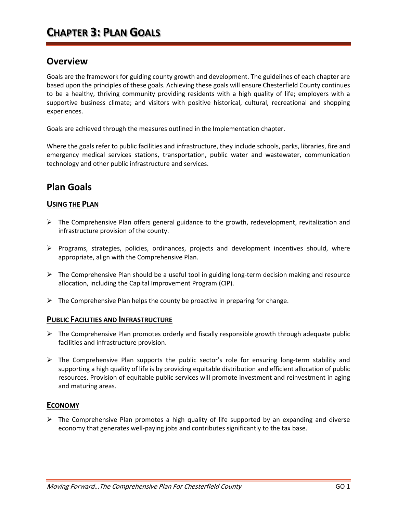# **Overview**

Goals are the framework for guiding county growth and development. The guidelines of each chapter are based upon the principles of these goals. Achieving these goals will ensure Chesterfield County continues to be a healthy, thriving community providing residents with a high quality of life; employers with a supportive business climate; and visitors with positive historical, cultural, recreational and shopping experiences.

Goals are achieved through the measures outlined in the Implementation chapter.

Where the goals refer to public facilities and infrastructure, they include schools, parks, libraries, fire and emergency medical services stations, transportation, public water and wastewater, communication technology and other public infrastructure and services.

# **Plan Goals**

# **USING THE PLAN**

- $\triangleright$  The Comprehensive Plan offers general guidance to the growth, redevelopment, revitalization and infrastructure provision of the county.
- $\triangleright$  Programs, strategies, policies, ordinances, projects and development incentives should, where appropriate, align with the Comprehensive Plan.
- $\triangleright$  The Comprehensive Plan should be a useful tool in guiding long-term decision making and resource allocation, including the Capital Improvement Program (CIP).
- $\triangleright$  The Comprehensive Plan helps the county be proactive in preparing for change.

## **PUBLIC FACILITIES AND INFRASTRUCTURE**

- $\triangleright$  The Comprehensive Plan promotes orderly and fiscally responsible growth through adequate public facilities and infrastructure provision.
- ➢ The Comprehensive Plan supports the public sector's role for ensuring long-term stability and supporting a high quality of life is by providing equitable distribution and efficient allocation of public resources. Provision of equitable public services will promote investment and reinvestment in aging and maturing areas.

## **ECONOMY**

 $\triangleright$  The Comprehensive Plan promotes a high quality of life supported by an expanding and diverse economy that generates well-paying jobs and contributes significantly to the tax base.